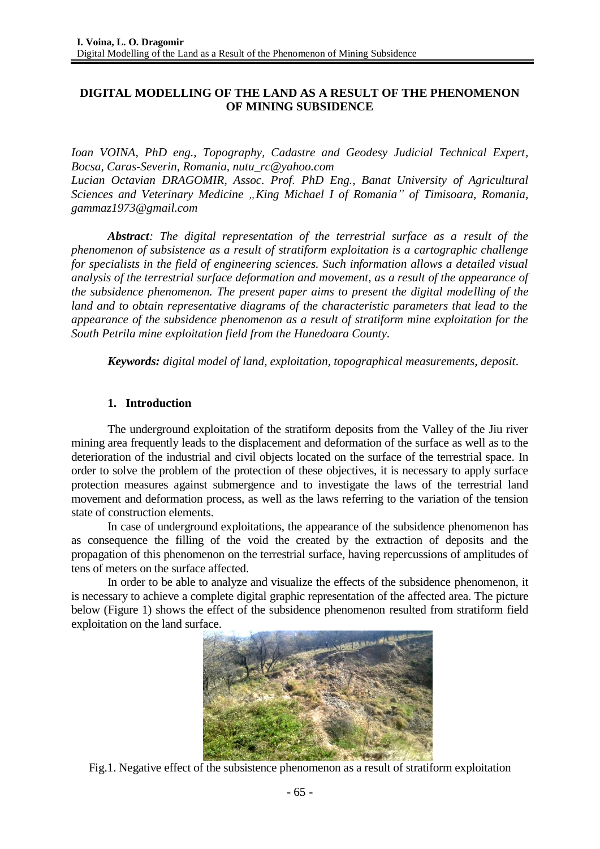# **DIGITAL MODELLING OF THE LAND AS A RESULT OF THE PHENOMENON OF MINING SUBSIDENCE**

*Ioan VOINA, PhD eng., Topography, Cadastre and Geodesy Judicial Technical Expert, Bocsa, Caras-Severin, Romania, [nutu\\_rc@yahoo.com](mailto:nutu_rc@yahoo.com) Lucian Octavian DRAGOMIR, Assoc. Prof. PhD Eng., Banat University of Agricultural Sciences and Veterinary Medicine "King Michael I of Romania" of Timisoara, Romania, gammaz1973@gmail.com*

*Abstract: The digital representation of the terrestrial surface as a result of the phenomenon of subsistence as a result of stratiform exploitation is a cartographic challenge for specialists in the field of engineering sciences. Such information allows a detailed visual analysis of the terrestrial surface deformation and movement, as a result of the appearance of the subsidence phenomenon. The present paper aims to present the digital modelling of the land and to obtain representative diagrams of the characteristic parameters that lead to the appearance of the subsidence phenomenon as a result of stratiform mine exploitation for the South Petrila mine exploitation field from the Hunedoara County.*

*Keywords: digital model of land, exploitation, topographical measurements, deposit.*

## **1. Introduction**

The underground exploitation of the stratiform deposits from the Valley of the Jiu river mining area frequently leads to the displacement and deformation of the surface as well as to the deterioration of the industrial and civil objects located on the surface of the terrestrial space. In order to solve the problem of the protection of these objectives, it is necessary to apply surface protection measures against submergence and to investigate the laws of the terrestrial land movement and deformation process, as well as the laws referring to the variation of the tension state of construction elements.

In case of underground exploitations, the appearance of the subsidence phenomenon has as consequence the filling of the void the created by the extraction of deposits and the propagation of this phenomenon on the terrestrial surface, having repercussions of amplitudes of tens of meters on the surface affected.

In order to be able to analyze and visualize the effects of the subsidence phenomenon, it is necessary to achieve a complete digital graphic representation of the affected area. The picture below (Figure 1) shows the effect of the subsidence phenomenon resulted from stratiform field exploitation on the land surface.



Fig.1. Negative effect of the subsistence phenomenon as a result of stratiform exploitation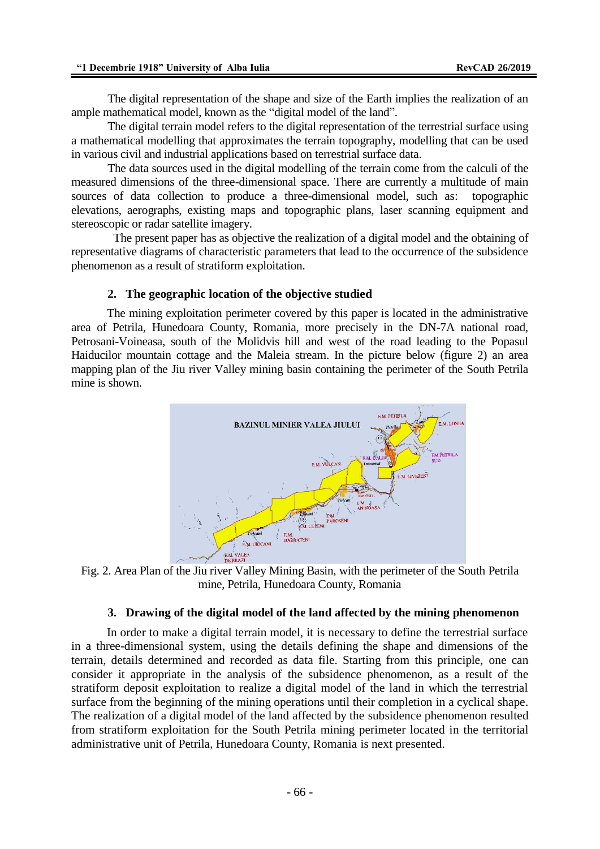The digital representation of the shape and size of the Earth implies the realization of an ample mathematical model, known as the "digital model of the land".

The digital terrain model refers to the digital representation of the terrestrial surface using a mathematical modelling that approximates the terrain topography, modelling that can be used in various civil and industrial applications based on terrestrial surface data.

The data sources used in the digital modelling of the terrain come from the calculi of the measured dimensions of the three-dimensional space. There are currently a multitude of main sources of data collection to produce a three-dimensional model, such as: topographic elevations, aerographs, existing maps and topographic plans, laser scanning equipment and stereoscopic or radar satellite imagery.

The present paper has as objective the realization of a digital model and the obtaining of representative diagrams of characteristic parameters that lead to the occurrence of the subsidence phenomenon as a result of stratiform exploitation.

#### **2. The geographic location of the objective studied**

The mining exploitation perimeter covered by this paper is located in the administrative area of Petrila, Hunedoara County, Romania, more precisely in the DN-7A national road, Petrosani-Voineasa, south of the Molidvis hill and west of the road leading to the Popasul Haiducilor mountain cottage and the Maleia stream. In the picture below (figure 2) an area mapping plan of the Jiu river Valley mining basin containing the perimeter of the South Petrila mine is shown.



Fig. 2. Area Plan of the Jiu river Valley Mining Basin, with the perimeter of the South Petrila mine, Petrila, Hunedoara County, Romania

#### **3. Drawing of the digital model of the land affected by the mining phenomenon**

In order to make a digital terrain model, it is necessary to define the terrestrial surface in a three-dimensional system, using the details defining the shape and dimensions of the terrain, details determined and recorded as data file. Starting from this principle, one can consider it appropriate in the analysis of the subsidence phenomenon, as a result of the stratiform deposit exploitation to realize a digital model of the land in which the terrestrial surface from the beginning of the mining operations until their completion in a cyclical shape. The realization of a digital model of the land affected by the subsidence phenomenon resulted from stratiform exploitation for the South Petrila mining perimeter located in the territorial administrative unit of Petrila, Hunedoara County, Romania is next presented.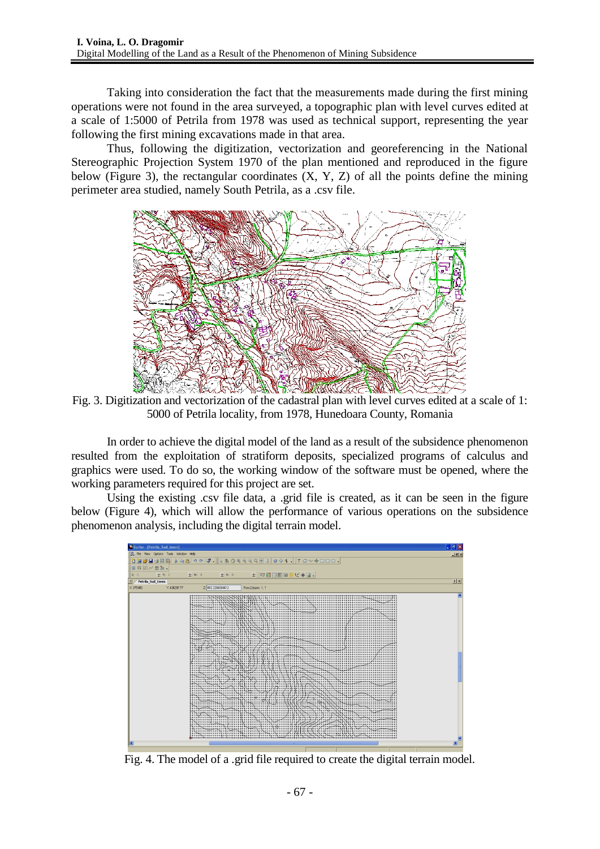Taking into consideration the fact that the measurements made during the first mining operations were not found in the area surveyed, a topographic plan with level curves edited at a scale of 1:5000 of Petrila from 1978 was used as technical support, representing the year following the first mining excavations made in that area.

Thus, following the digitization, vectorization and georeferencing in the National Stereographic Projection System 1970 of the plan mentioned and reproduced in the figure below (Figure 3), the rectangular coordinates  $(X, Y, Z)$  of all the points define the mining perimeter area studied, namely South Petrila, as a .csv file.



Fig. 3. Digitization and vectorization of the cadastral plan with level curves edited at a scale of 1: 5000 of Petrila locality, from 1978, Hunedoara County, Romania

In order to achieve the digital model of the land as a result of the subsidence phenomenon resulted from the exploitation of stratiform deposits, specialized programs of calculus and graphics were used. To do so, the working window of the software must be opened, where the working parameters required for this project are set.

Using the existing .csv file data, a .grid file is created, as it can be seen in the figure below (Figure 4), which will allow the performance of various operations on the subsidence phenomenon analysis, including the digital terrain model.



Fig. 4. The model of a .grid file required to create the digital terrain model.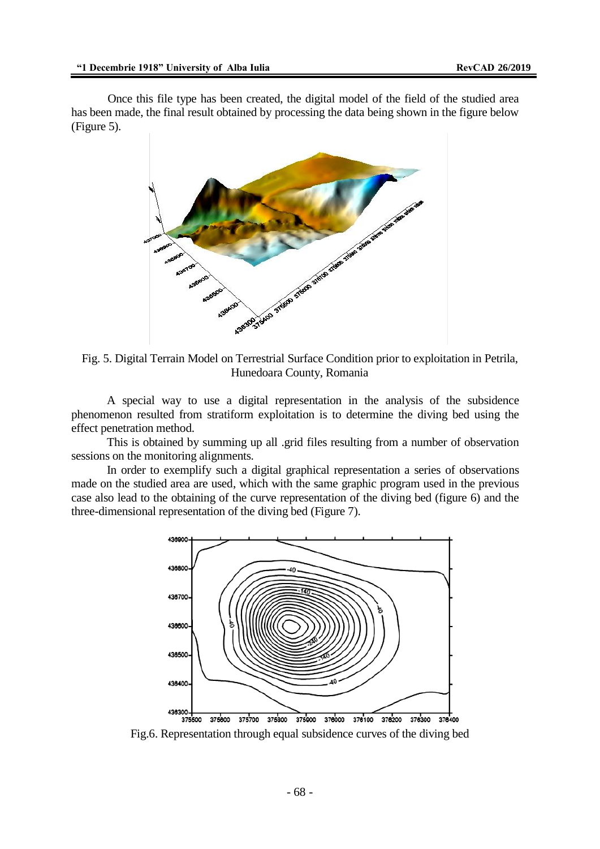Once this file type has been created, the digital model of the field of the studied area has been made, the final result obtained by processing the data being shown in the figure below (Figure 5).



Fig. 5. Digital Terrain Model on Terrestrial Surface Condition prior to exploitation in Petrila, Hunedoara County, Romania

A special way to use a digital representation in the analysis of the subsidence phenomenon resulted from stratiform exploitation is to determine the diving bed using the effect penetration method.

This is obtained by summing up all .grid files resulting from a number of observation sessions on the monitoring alignments.

In order to exemplify such a digital graphical representation a series of observations made on the studied area are used, which with the same graphic program used in the previous case also lead to the obtaining of the curve representation of the diving bed (figure 6) and the three-dimensional representation of the diving bed (Figure 7).



Fig.6. Representation through equal subsidence curves of the diving bed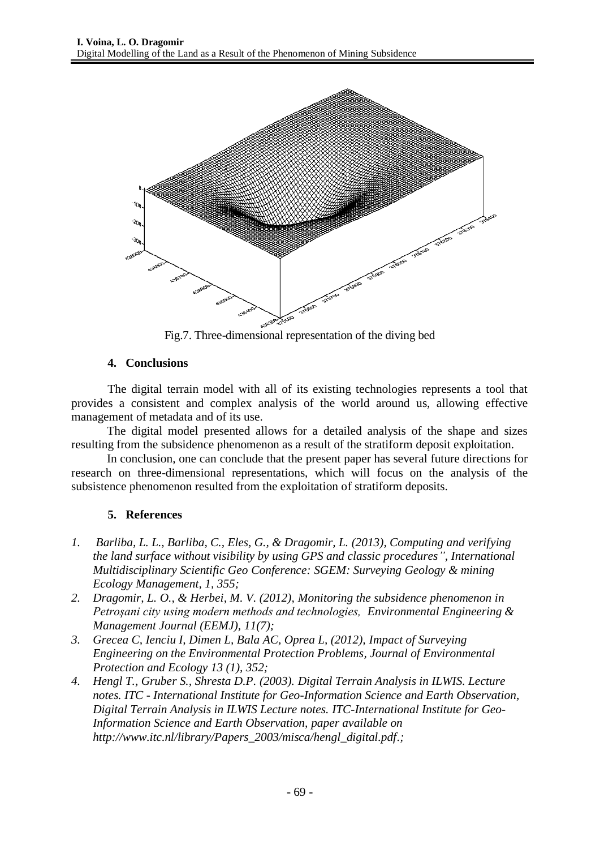

Fig.7. Three-dimensional representation of the diving bed

## **4. Conclusions**

The digital terrain model with all of its existing technologies represents a tool that provides a consistent and complex analysis of the world around us, allowing effective management of metadata and of its use.

The digital model presented allows for a detailed analysis of the shape and sizes resulting from the subsidence phenomenon as a result of the stratiform deposit exploitation.

In conclusion, one can conclude that the present paper has several future directions for research on three-dimensional representations, which will focus on the analysis of the subsistence phenomenon resulted from the exploitation of stratiform deposits.

### **5. References**

- *1. Barliba, L. L., Barliba, C., Eles, G., & Dragomir, L. (2013), Computing and verifying the land surface without visibility by using GPS and classic procedures", International Multidisciplinary Scientific Geo Conference: SGEM: Surveying Geology & mining Ecology Management, 1, 355;*
- *2. Dragomir, L. O., & Herbei, M. V. (2012), Monitoring the subsidence phenomenon in Petroşani city using modern methods and technologies, Environmental Engineering & Management Journal (EEMJ), 11(7);*
- *3. Grecea C, Ienciu I, Dimen L, Bala AC, Oprea L, (2012), [Impact of Surveying](http://scholar.google.com/scholar?cluster=8995741649762110030&hl=en&oi=scholarr)  [Engineering on the Environmental Protection Problems,](http://scholar.google.com/scholar?cluster=8995741649762110030&hl=en&oi=scholarr) Journal of Environmental Protection and Ecology 13 (1), 352;*
- *4. Hengl T., Gruber S., Shresta D.P. (2003). Digital Terrain Analysis in ILWIS. Lecture notes. ITC - International Institute for Geo-Information Science and Earth Observation, Digital Terrain Analysis in ILWIS Lecture notes. ITC-International Institute for Geo-Information Science and Earth Observation, paper available on [http://www.itc.nl/library/Papers\\_2003/misca/hengl\\_digital.pdf.](http://www.itc.nl/library/Papers_2003/misca/hengl_digital.pdf);*